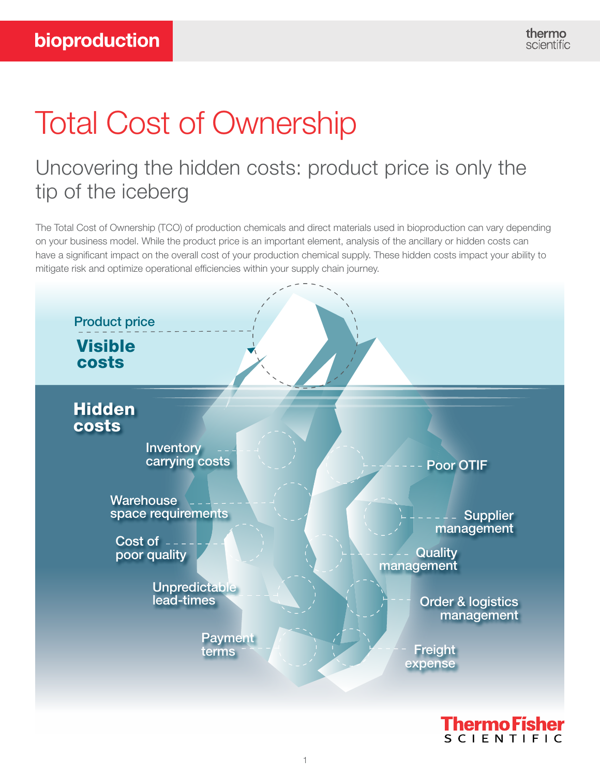# Total Cost of Ownership

## Uncovering the hidden costs: product price is only the tip of the iceberg

The Total Cost of Ownership (TCO) of production chemicals and direct materials used in bioproduction can vary depending on your business model. While the product price is an important element, analysis of the ancillary or hidden costs can have a significant impact on the overall cost of your production chemical supply. These hidden costs impact your ability to mitigate risk and optimize operational efficiencies within your supply chain journey.

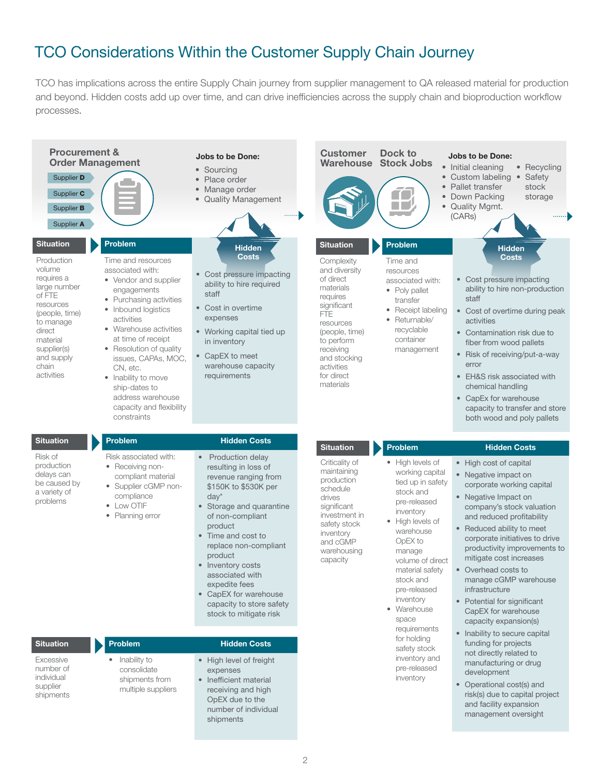### TCO Considerations Within the Customer Supply Chain Journey

TCO has implications across the entire Supply Chain journey from supplier management to QA released material for production and beyond. Hidden costs add up over time, and can drive inefficiencies across the supply chain and bioproduction workflow processes.

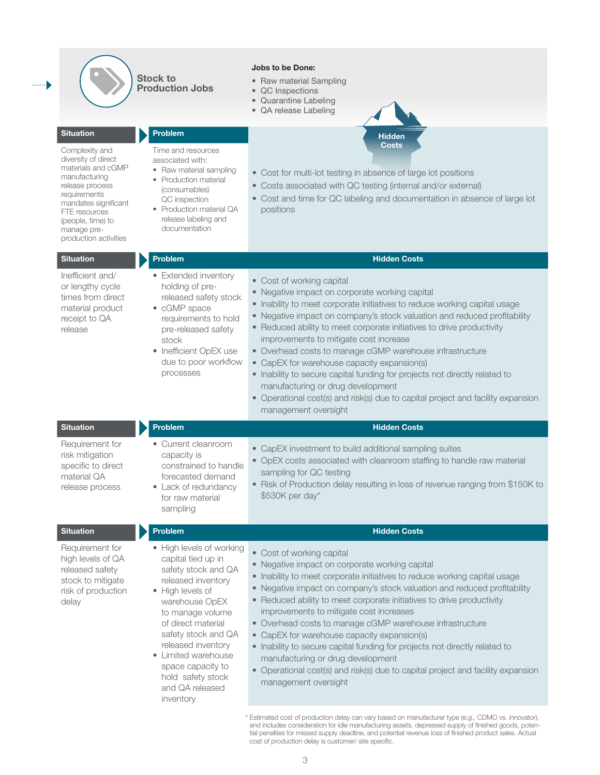|                                                                                                                                                                                                                                           | <b>Stock to</b><br><b>Production Jobs</b>                                                                                                                                                                                                                                                                                 | <b>Jobs to be Done:</b><br>• Raw material Sampling<br>• QC Inspections<br>• Quarantine Labeling<br>• QA release Labeling                                                                                                                                                                                                                                                                                                                                                                                                                                                                                                                                                                          |
|-------------------------------------------------------------------------------------------------------------------------------------------------------------------------------------------------------------------------------------------|---------------------------------------------------------------------------------------------------------------------------------------------------------------------------------------------------------------------------------------------------------------------------------------------------------------------------|---------------------------------------------------------------------------------------------------------------------------------------------------------------------------------------------------------------------------------------------------------------------------------------------------------------------------------------------------------------------------------------------------------------------------------------------------------------------------------------------------------------------------------------------------------------------------------------------------------------------------------------------------------------------------------------------------|
| <b>Situation</b><br>Complexity and<br>diversity of direct<br>materials and cGMP<br>manufacturing<br>release process<br>requirements<br>mandates significant<br>FTE resources<br>(people, time) to<br>manage pre-<br>production activities | <b>Problem</b><br>Time and resources<br>associated with:<br>• Raw material sampling<br>• Production material<br>(consumables)<br>QC inspection<br>• Production material QA<br>release labeling and<br>documentation                                                                                                       | <b>Hidden</b><br><b>Costs</b><br>• Cost for multi-lot testing in absence of large lot positions<br>• Costs associated with QC testing (internal and/or external)<br>• Cost and time for QC labeling and documentation in absence of large lot<br>positions                                                                                                                                                                                                                                                                                                                                                                                                                                        |
| <b>Situation</b>                                                                                                                                                                                                                          | <b>Problem</b>                                                                                                                                                                                                                                                                                                            | <b>Hidden Costs</b>                                                                                                                                                                                                                                                                                                                                                                                                                                                                                                                                                                                                                                                                               |
| Inefficient and/<br>or lengthy cycle<br>times from direct<br>material product<br>receipt to QA<br>release                                                                                                                                 | • Extended inventory<br>holding of pre-<br>released safety stock<br>• cGMP space<br>requirements to hold<br>pre-released safety<br>stock<br>• Inefficient OpEX use<br>due to poor workflow<br>processes                                                                                                                   | • Cost of working capital<br>• Negative impact on corporate working capital<br>• Inability to meet corporate initiatives to reduce working capital usage<br>• Negative impact on company's stock valuation and reduced profitability<br>• Reduced ability to meet corporate initiatives to drive productivity<br>improvements to mitigate cost increase<br>• Overhead costs to manage cGMP warehouse infrastructure<br>• CapEX for warehouse capacity expansion(s)<br>• Inability to secure capital funding for projects not directly related to<br>manufacturing or drug development<br>• Operational cost(s) and risk(s) due to capital project and facility expansion<br>management oversight  |
| <b>Situation</b>                                                                                                                                                                                                                          | <b>Problem</b>                                                                                                                                                                                                                                                                                                            | <b>Hidden Costs</b>                                                                                                                                                                                                                                                                                                                                                                                                                                                                                                                                                                                                                                                                               |
| Requirement for<br>risk mitigation<br>specific to direct<br>material QA<br>release process                                                                                                                                                | • Current cleanroom<br>capacity is<br>constrained to handle<br>forecasted demand<br>• Lack of redundancy<br>for raw material<br>sampling                                                                                                                                                                                  | • CapEX investment to build additional sampling suites<br>• OpEX costs associated with cleanroom staffing to handle raw material<br>sampling for QC testing<br>• Risk of Production delay resulting in loss of revenue ranging from \$150K to<br>\$530K per day*                                                                                                                                                                                                                                                                                                                                                                                                                                  |
| <b>Situation</b>                                                                                                                                                                                                                          | <b>Problem</b>                                                                                                                                                                                                                                                                                                            | <b>Hidden Costs</b>                                                                                                                                                                                                                                                                                                                                                                                                                                                                                                                                                                                                                                                                               |
| Requirement for<br>high levels of QA<br>released safety<br>stock to mitigate<br>risk of production<br>delay                                                                                                                               | • High levels of working<br>capital tied up in<br>safety stock and QA<br>released inventory<br>• High levels of<br>warehouse OpEX<br>to manage volume<br>of direct material<br>safety stock and QA<br>released inventory<br>• Limited warehouse<br>space capacity to<br>hold safety stock<br>and QA released<br>inventory | • Cost of working capital<br>• Negative impact on corporate working capital<br>• Inability to meet corporate initiatives to reduce working capital usage<br>• Negative impact on company's stock valuation and reduced profitability<br>• Reduced ability to meet corporate initiatives to drive productivity<br>improvements to mitigate cost increases<br>• Overhead costs to manage cGMP warehouse infrastructure<br>• CapEX for warehouse capacity expansion(s)<br>• Inability to secure capital funding for projects not directly related to<br>manufacturing or drug development<br>• Operational cost(s) and risk(s) due to capital project and facility expansion<br>management oversight |
|                                                                                                                                                                                                                                           |                                                                                                                                                                                                                                                                                                                           | * Estimated cost of production delay can vary based on manufacturer type (e.g., CDMO vs. innovator),<br>and includes consideration for idle manufacturing assets, depressed supply of finished goods, poten-                                                                                                                                                                                                                                                                                                                                                                                                                                                                                      |

cost of production delay is customer/ site specific.

tial penalties for missed supply deadline, and potential revenue loss of finished product sales. Actual